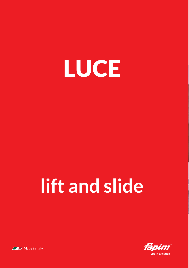

## **lift and slide**



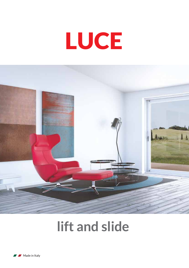# LUCE



## **lift and slide**

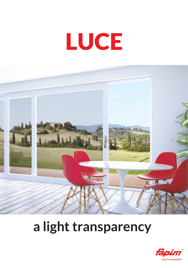# LUCE



### **a light transparency**

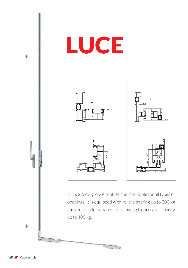

Made in Italy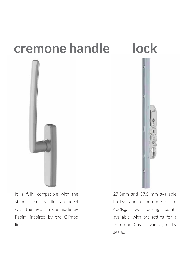#### **cremone handle lock**



It is fully compatible with the standard pull handles, and ideal with the new handle made by Fapim, inspired by the Olimpo line.



27,5mm and 37,5 mm available backsets, ideal for doors up to 400Kg. Two locking points available, with pre-setting for a third one. Case in zamak, totally sealed.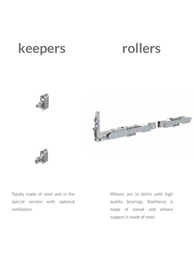#### **keepers rollers**







Totally made of steel and in the special version with optional ventilation.

Wheels are in delrin with high quality bearings. Backbone is made of zamak and wheels support is made of steel.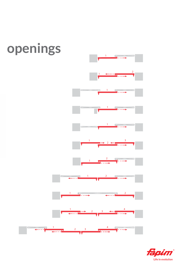